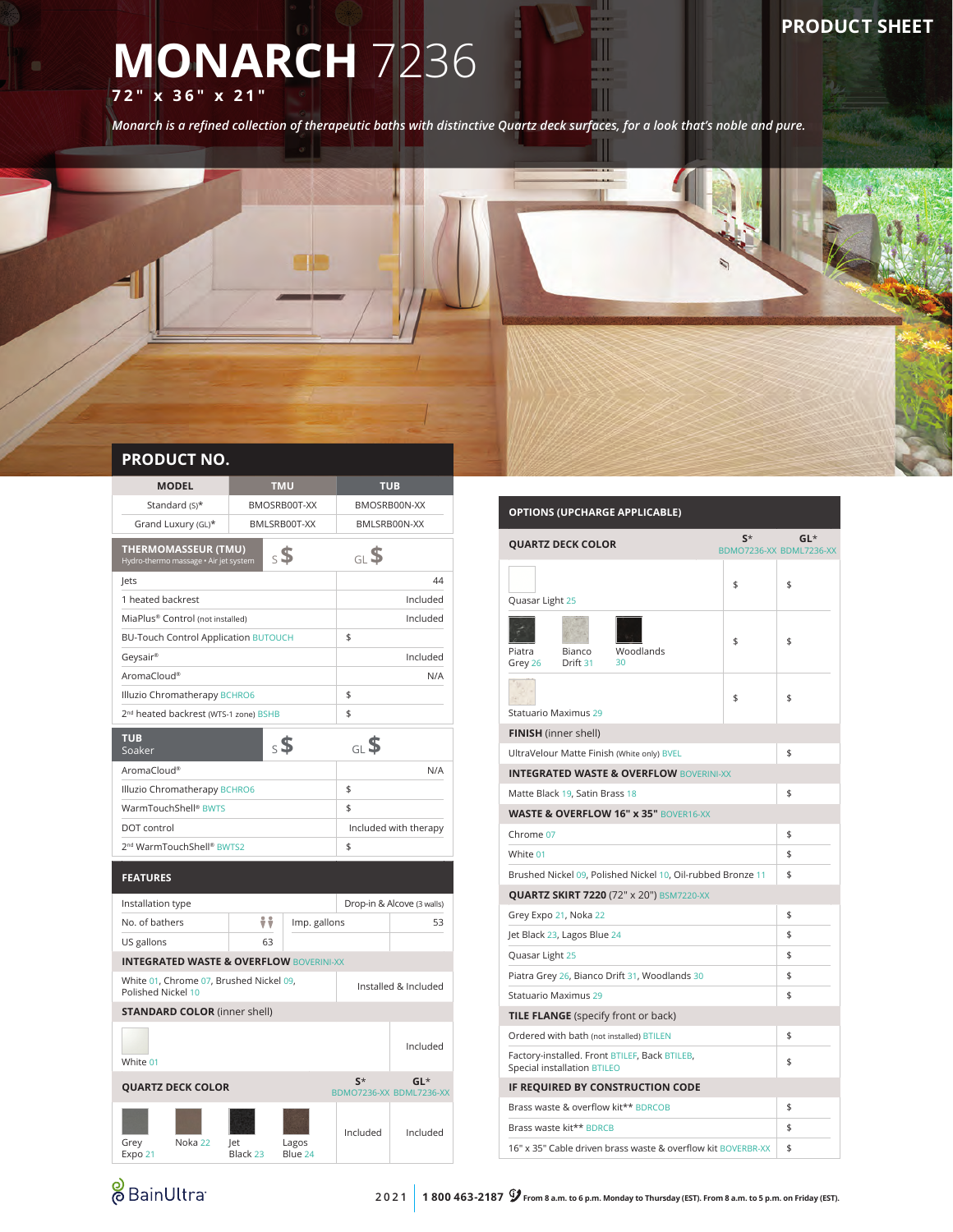## **PRODUCT SHEET**

# **MONARCH** 7236 **72" x 36" x 21"**

*Monarch is a refined collection of therapeutic baths with distinctive Quartz deck surfaces, for a look that's noble and pure.*



| <b>MODEL</b>                                                        |                 | <b>TMU</b>                   | <b>TUB</b>            |                                   |  |  |
|---------------------------------------------------------------------|-----------------|------------------------------|-----------------------|-----------------------------------|--|--|
| Standard (S)*                                                       |                 | BMOSRB00T-XX<br>BMOSRB00N-XX |                       |                                   |  |  |
| Grand Luxury (GL)*                                                  |                 | BMLSRB00T-XX                 |                       | BMLSRB00N-XX                      |  |  |
| <b>THERMOMASSEUR (TMU)</b><br>Hydro-thermo massage · Air jet system |                 | $\mathsf{s}$                 | GLS                   |                                   |  |  |
| lets                                                                |                 |                              |                       | 44                                |  |  |
| 1 heated backrest                                                   |                 |                              |                       | Included                          |  |  |
| MiaPlus® Control (not installed)                                    |                 |                              |                       | Included                          |  |  |
| <b>BU-Touch Control Application BUTOUCH</b>                         |                 |                              | \$                    |                                   |  |  |
| Geysair®                                                            |                 |                              |                       | Included                          |  |  |
| AromaCloud®                                                         |                 |                              |                       | N/A                               |  |  |
| Illuzio Chromatherapy BCHRO6                                        |                 |                              | \$                    |                                   |  |  |
| 2 <sup>nd</sup> heated backrest (WTS-1 zone) BSHB                   |                 |                              | \$                    |                                   |  |  |
| <b>TUB</b><br>Soaker                                                |                 | $\mathsf{s}$                 | <sub>GL</sub> \$      |                                   |  |  |
| AromaCloud®                                                         |                 |                              |                       | N/A                               |  |  |
| Illuzio Chromatherapy BCHRO6                                        |                 |                              | \$                    |                                   |  |  |
| WarmTouchShell <sup>®</sup> BWTS                                    |                 |                              | \$                    |                                   |  |  |
| DOT control                                                         |                 |                              | Included with therapy |                                   |  |  |
| 2 <sup>nd</sup> WarmTouchShell® BWTS2                               |                 |                              | \$                    |                                   |  |  |
| <b>FEATURES</b>                                                     |                 |                              |                       |                                   |  |  |
| Installation type                                                   |                 |                              |                       | Drop-in & Alcove (3 walls)        |  |  |
| No. of bathers                                                      | ÷÷              | Imp. gallons                 |                       | 53                                |  |  |
| US gallons                                                          | 63              |                              |                       |                                   |  |  |
| <b>INTEGRATED WASTE &amp; OVERFLOW BOVERINI-XX</b>                  |                 |                              |                       |                                   |  |  |
| White 01, Chrome 07, Brushed Nickel 09,<br>Polished Nickel 10       |                 | Installed & Included         |                       |                                   |  |  |
| <b>STANDARD COLOR</b> (inner shell)                                 |                 |                              |                       |                                   |  |  |
|                                                                     |                 |                              |                       |                                   |  |  |
| White 01                                                            |                 |                              |                       | Included                          |  |  |
| <b>QUARTZ DECK COLOR</b>                                            |                 |                              | $S^*$                 | $GL^*$<br>BDMO7236-XX BDML7236-XX |  |  |
| Noka 22<br>Grey<br>Expo 21                                          | let<br>Black 23 | Lagos<br>Blue 24             | Included              | Included                          |  |  |

### **OPTIONS (UPCHARGE APPLICABLE) QUARTZ DECK COLOR S**\* BDMO7236-XX BDML7236-XX **GL**\* Quasar Light 25  $$ \qquad$  \$ Piatra Grey 26 Bianco Drift 31 Woodlands 30 \$ \$ Statuario Maximus 29  $\frac{1}{2}$ **FINISH** (inner shell) UltraVelour Matte Finish (White only) BVEL \$ **INTEGRATED WASTE & OVERFLOW** BOVERINI-XX Matte Black 19, Satin Brass 18 **WASTE & OVERFLOW 16" x 35"** BOVER16-XX Chrome 07  $\frac{1}{2}$ White  $01$  \$ Brushed Nickel 09, Polished Nickel 10, Oil-rubbed Bronze 11 \$ **QUARTZ SKIRT 7220** (72" x 20") BSM7220-XX Grey Expo 21, Noka 22  $\uparrow$ Jet Black 23, Lagos Blue 24 \$ Quasar Light 25 \$ Piatra Grey 26, Bianco Drift 31, Woodlands 30 Statuario Maximus 29 \$ **TILE FLANGE** (specify front or back) Ordered with bath (not installed) BTILEN \$ Factory-installed. Front BTILEF, Back BTILEB, Factory-installed. Front BTILEF, Back BTILEB,<br>Special installation BTILEO **IF REQUIRED BY CONSTRUCTION CODE** Brass waste & overflow kit\*\* BDRCOB \$ Brass waste kit\*\* BDRCB \$

**&** BainUltra

16" x 35" Cable driven brass waste & overflow kit BOVERBR-XX \ \ \$